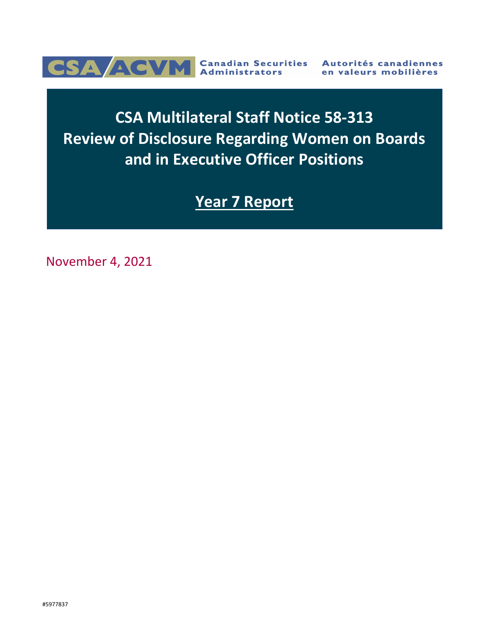

# **CSA Multilateral Staff Notice 58-313 Review of Disclosure Regarding Women on Boards and in Executive Officer Positions**

# **Year 7 Report**

November 4, 2021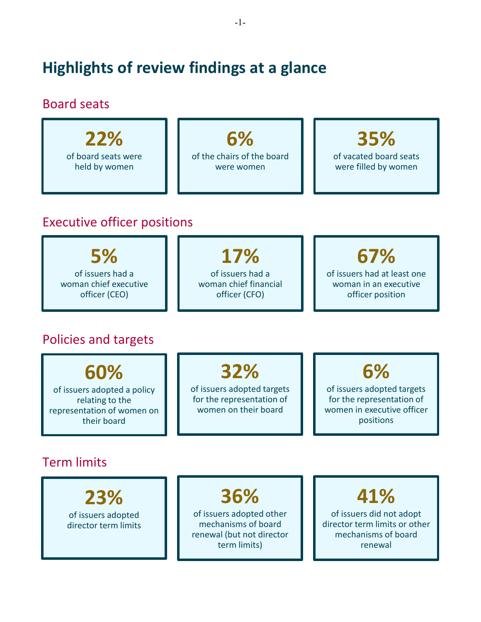# **Highlights of review findings at a glance**

### Board seats

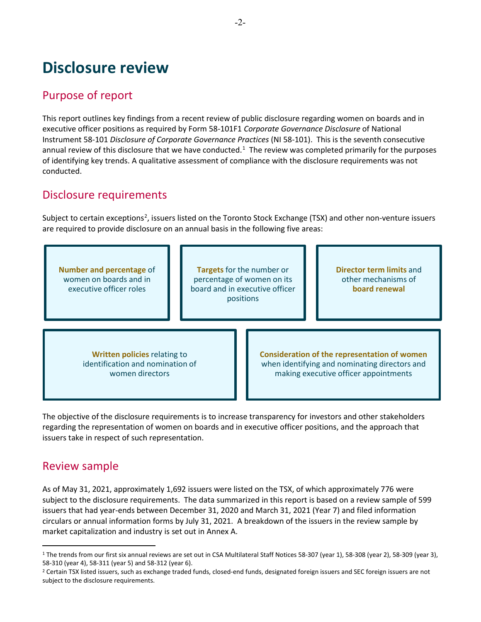## **Disclosure review**

### Purpose of report

This report outlines key findings from a recent review of public disclosure regarding women on boards and in executive officer positions as required by Form 58-101F1 *Corporate Governance Disclosure* of National Instrument 58-101 *Disclosure of Corporate Governance Practices* (NI 58-101). This is the seventh consecutive annual review of this disclosure that we have conducted.<sup>[1](#page-2-0)</sup> The review was completed primarily for the purposes of identifying key trends. A qualitative assessment of compliance with the disclosure requirements was not conducted.

### Disclosure requirements

Subject to certain exceptions<sup>[2](#page-2-1)</sup>, issuers listed on the Toronto Stock Exchange (TSX) and other non-venture issuers are required to provide disclosure on an annual basis in the following five areas:



The objective of the disclosure requirements is to increase transparency for investors and other stakeholders regarding the representation of women on boards and in executive officer positions, and the approach that issuers take in respect of such representation.

### Review sample

 $\overline{a}$ 

As of May 31, 2021, approximately 1,692 issuers were listed on the TSX, of which approximately 776 were subject to the disclosure requirements. The data summarized in this report is based on a review sample of 599 issuers that had year-ends between December 31, 2020 and March 31, 2021 (Year 7) and filed information circulars or annual information forms by July 31, 2021. A breakdown of the issuers in the review sample by market capitalization and industry is set out in Annex A.

<span id="page-2-0"></span><sup>&</sup>lt;sup>1</sup> The trends from our first six annual reviews are set out in CSA Multilateral Staff Notices 58-307 (year 1), 58-308 (year 2), 58-309 (year 3), 58-310 (year 4), 58-311 (year 5) and 58-312 (year 6).<br><sup>2</sup> Certain TSX listed issuers, such as exchange traded funds, closed-end funds, designated foreign issuers and SEC foreign issuers are not

<span id="page-2-1"></span>subject to the disclosure requirements.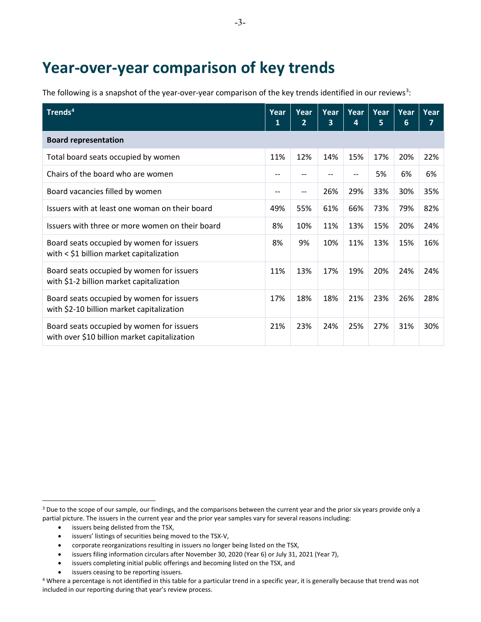## **Year-over-year comparison of key trends**

The following is a snapshot of the year-over-year comparison of the key trends identified in our reviews<sup>[3](#page-3-0)</sup>:

| Trends <sup>4</sup>                                                                       | Year<br>1 | Year<br>$\overline{2}$ | Year<br>3. | Year<br>4 | Year<br>5 | Year<br>6 | Year<br>7 |
|-------------------------------------------------------------------------------------------|-----------|------------------------|------------|-----------|-----------|-----------|-----------|
| <b>Board representation</b>                                                               |           |                        |            |           |           |           |           |
| Total board seats occupied by women                                                       | 11%       | 12%                    | 14%        | 15%       | 17%       | 20%       | 22%       |
| Chairs of the board who are women                                                         | $-$       | --                     | --         | --        | 5%        | 6%        | 6%        |
| Board vacancies filled by women                                                           | --        | --                     | 26%        | 29%       | 33%       | 30%       | 35%       |
| Issuers with at least one woman on their board                                            | 49%       | 55%                    | 61%        | 66%       | 73%       | 79%       | 82%       |
| Issuers with three or more women on their board                                           | 8%        | 10%                    | 11%        | 13%       | 15%       | 20%       | 24%       |
| Board seats occupied by women for issuers<br>with < \$1 billion market capitalization     | 8%        | 9%                     | 10%        | 11%       | 13%       | 15%       | 16%       |
| Board seats occupied by women for issuers<br>with \$1-2 billion market capitalization     | 11%       | 13%                    | 17%        | 19%       | 20%       | 24%       | 24%       |
| Board seats occupied by women for issuers<br>with \$2-10 billion market capitalization    | 17%       | 18%                    | 18%        | 21%       | 23%       | 26%       | 28%       |
| Board seats occupied by women for issuers<br>with over \$10 billion market capitalization | 21%       | 23%                    | 24%        | 25%       | 27%       | 31%       | 30%       |

• issuers being delisted from the TSX,

 $\overline{a}$ 

- issuers' listings of securities being moved to the TSX-V,
- corporate reorganizations resulting in issuers no longer being listed on the TSX,
- issuers filing information circulars after November 30, 2020 (Year 6) or July 31, 2021 (Year 7),
- issuers completing initial public offerings and becoming listed on the TSX, and
- issuers ceasing to be reporting issuers.

<span id="page-3-0"></span><sup>&</sup>lt;sup>3</sup> Due to the scope of our sample, our findings, and the comparisons between the current year and the prior six years provide only a partial picture. The issuers in the current year and the prior year samples vary for several reasons including:

<span id="page-3-1"></span><sup>&</sup>lt;sup>4</sup> Where a percentage is not identified in this table for a particular trend in a specific year, it is generally because that trend was not included in our reporting during that year's review process.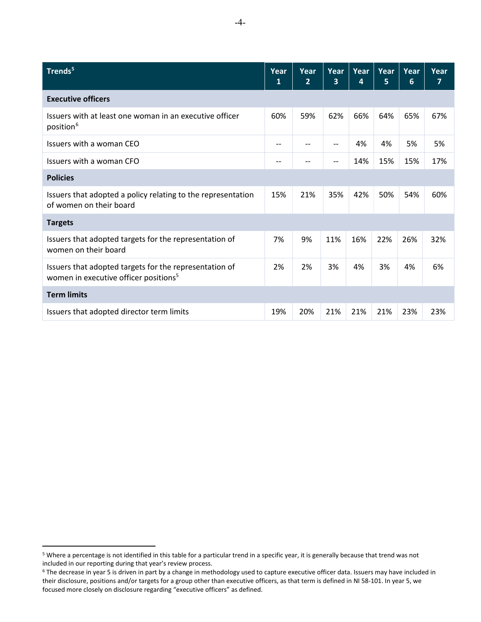| Trends <sup>5</sup>                                                                                         | Year<br>1 | Year<br>$\overline{2}$ | Year<br>3 | Year<br>4 | Year<br>5 | Year<br>6 | Year<br>7 |
|-------------------------------------------------------------------------------------------------------------|-----------|------------------------|-----------|-----------|-----------|-----------|-----------|
| <b>Executive officers</b>                                                                                   |           |                        |           |           |           |           |           |
| Issuers with at least one woman in an executive officer<br>position <sup>6</sup>                            | 60%       | 59%                    | 62%       | 66%       | 64%       | 65%       | 67%       |
| Issuers with a woman CEO                                                                                    | --        |                        |           | 4%        | 4%        | 5%        | 5%        |
| Issuers with a woman CEO                                                                                    | --        |                        |           | 14%       | 15%       | 15%       | 17%       |
| <b>Policies</b>                                                                                             |           |                        |           |           |           |           |           |
| Issuers that adopted a policy relating to the representation<br>of women on their board                     | 15%       | 21%                    | 35%       | 42%       | 50%       | 54%       | 60%       |
| <b>Targets</b>                                                                                              |           |                        |           |           |           |           |           |
| Issuers that adopted targets for the representation of<br>women on their board                              |           | 9%                     | 11%       | 16%       | 22%       | 26%       | 32%       |
| Issuers that adopted targets for the representation of<br>women in executive officer positions <sup>5</sup> | 2%        | 2%                     | 3%        | 4%        | 3%        | 4%        | 6%        |
| <b>Term limits</b>                                                                                          |           |                        |           |           |           |           |           |
| Issuers that adopted director term limits                                                                   | 19%       | 20%                    | 21%       | 21%       | 21%       | 23%       | 23%       |

 $\overline{a}$ 

<span id="page-4-0"></span><sup>5</sup> Where a percentage is not identified in this table for a particular trend in a specific year, it is generally because that trend was not

<span id="page-4-1"></span>included in our reporting during that year's review process.<br><sup>6</sup> The decrease in year 5 is driven in part by a change in methodology used to capture executive officer data. Issuers may have included in their disclosure, positions and/or targets for a group other than executive officers, as that term is defined in NI 58-101. In year 5, we focused more closely on disclosure regarding "executive officers" as defined.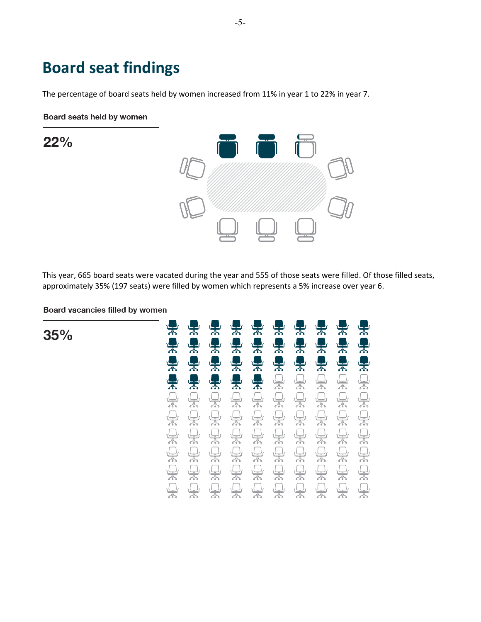## **Board seat findings**

The percentage of board seats held by women increased from 11% in year 1 to 22% in year 7.

Board seats held by women

22%



This year, 665 board seats were vacated during the year and 555 of those seats were filled. Of those filled seats, approximately 35% (197 seats) were filled by women which represents a 5% increase over year 6.

Board vacancies filled by women

35%

| $\frac{1}{\sqrt{2}}$                                                                                                                                                                                                                                                                                                                                | $\frac{1}{4}$                                                                                                                                                                                                                                                                                                                                       | ♣                                                                                                                                                                                                                                                                                                                                                   | $\frac{1}{\sqrt{2}}$                                                                                                                                                                                                                                                                                                                                | $\frac{1}{\sqrt{2}}$                                                                                                                                                                                                                                                                                                                                | 果                                                                                                                                                                                                                                                                                                                                                   | $\frac{1}{2}$                                                                                                                                                                                                                                                                                                                                       | $\frac{1}{2}$                                                                                                                                                                                                                                                                                                                                       | $\frac{1}{\sqrt{2}}$                                                                                                                                                                                                                                                                                                                            | 櫐                                                                                                                                                                                                                                                                                                                                                   |
|-----------------------------------------------------------------------------------------------------------------------------------------------------------------------------------------------------------------------------------------------------------------------------------------------------------------------------------------------------|-----------------------------------------------------------------------------------------------------------------------------------------------------------------------------------------------------------------------------------------------------------------------------------------------------------------------------------------------------|-----------------------------------------------------------------------------------------------------------------------------------------------------------------------------------------------------------------------------------------------------------------------------------------------------------------------------------------------------|-----------------------------------------------------------------------------------------------------------------------------------------------------------------------------------------------------------------------------------------------------------------------------------------------------------------------------------------------------|-----------------------------------------------------------------------------------------------------------------------------------------------------------------------------------------------------------------------------------------------------------------------------------------------------------------------------------------------------|-----------------------------------------------------------------------------------------------------------------------------------------------------------------------------------------------------------------------------------------------------------------------------------------------------------------------------------------------------|-----------------------------------------------------------------------------------------------------------------------------------------------------------------------------------------------------------------------------------------------------------------------------------------------------------------------------------------------------|-----------------------------------------------------------------------------------------------------------------------------------------------------------------------------------------------------------------------------------------------------------------------------------------------------------------------------------------------------|-------------------------------------------------------------------------------------------------------------------------------------------------------------------------------------------------------------------------------------------------------------------------------------------------------------------------------------------------|-----------------------------------------------------------------------------------------------------------------------------------------------------------------------------------------------------------------------------------------------------------------------------------------------------------------------------------------------------|
| $\sum_{i=1}^{\infty}$                                                                                                                                                                                                                                                                                                                               |                                                                                                                                                                                                                                                                                                                                                     | $\frac{1}{\sqrt{2}}$                                                                                                                                                                                                                                                                                                                                | $\frac{1}{2}$                                                                                                                                                                                                                                                                                                                                       | $\frac{1}{\sqrt{2}}$                                                                                                                                                                                                                                                                                                                                |                                                                                                                                                                                                                                                                                                                                                     |                                                                                                                                                                                                                                                                                                                                                     |                                                                                                                                                                                                                                                                                                                                                     |                                                                                                                                                                                                                                                                                                                                                 |                                                                                                                                                                                                                                                                                                                                                     |
| $\sum_{n=1}^{\infty}$                                                                                                                                                                                                                                                                                                                               | 中国                                                                                                                                                                                                                                                                                                                                                  | $\frac{1}{2}$                                                                                                                                                                                                                                                                                                                                       | 黑                                                                                                                                                                                                                                                                                                                                                   | $\ddot{=}$                                                                                                                                                                                                                                                                                                                                          |                                                                                                                                                                                                                                                                                                                                                     |                                                                                                                                                                                                                                                                                                                                                     | <b>2222</b>                                                                                                                                                                                                                                                                                                                                         |                                                                                                                                                                                                                                                                                                                                                 | <b>Seeker</b>                                                                                                                                                                                                                                                                                                                                       |
| $\frac{1}{\sqrt{2}}$                                                                                                                                                                                                                                                                                                                                | $\frac{1}{2}$                                                                                                                                                                                                                                                                                                                                       | $\frac{1}{2}$                                                                                                                                                                                                                                                                                                                                       | $\frac{1}{4}$                                                                                                                                                                                                                                                                                                                                       | 果                                                                                                                                                                                                                                                                                                                                                   | $\begin{picture}(120,115) \put(0,0){\line(1,0){15}} \put(15,0){\line(1,0){15}} \put(15,0){\line(1,0){15}} \put(15,0){\line(1,0){15}} \put(15,0){\line(1,0){15}} \put(15,0){\line(1,0){15}} \put(15,0){\line(1,0){15}} \put(15,0){\line(1,0){15}} \put(15,0){\line(1,0){15}} \put(15,0){\line(1,0){15}} \put(15,0){\line(1,0){15}} \put(15,0){\line$ | $\begin{picture}(120,110) \put(0,0){\line(1,0){10}} \put(15,0){\line(1,0){10}} \put(15,0){\line(1,0){10}} \put(15,0){\line(1,0){10}} \put(15,0){\line(1,0){10}} \put(15,0){\line(1,0){10}} \put(15,0){\line(1,0){10}} \put(15,0){\line(1,0){10}} \put(15,0){\line(1,0){10}} \put(15,0){\line(1,0){10}} \put(15,0){\line(1,0){10}} \put(15,0){\line$ | $\begin{picture}(120,115) \put(0,0){\line(1,0){15}} \put(15,0){\line(1,0){15}} \put(15,0){\line(1,0){15}} \put(15,0){\line(1,0){15}} \put(15,0){\line(1,0){15}} \put(15,0){\line(1,0){15}} \put(15,0){\line(1,0){15}} \put(15,0){\line(1,0){15}} \put(15,0){\line(1,0){15}} \put(15,0){\line(1,0){15}} \put(15,0){\line(1,0){15}} \put(15,0){\line$ | $\begin{picture}(120,115) \put(0,0){\line(1,0){155}} \put(15,0){\line(1,0){155}} \put(15,0){\line(1,0){155}} \put(15,0){\line(1,0){155}} \put(15,0){\line(1,0){155}} \put(15,0){\line(1,0){155}} \put(15,0){\line(1,0){155}} \put(15,0){\line(1,0){155}} \put(15,0){\line(1,0){155}} \put(15,0){\line(1,0){155}} \put(15,0){\line(1,0){155$     | $\begin{picture}(45,17) \put(0,0){\line(1,0){155}} \put(15,0){\line(1,0){155}} \put(15,0){\line(1,0){155}} \put(15,0){\line(1,0){155}} \put(15,0){\line(1,0){155}} \put(15,0){\line(1,0){155}} \put(15,0){\line(1,0){155}} \put(15,0){\line(1,0){155}} \put(15,0){\line(1,0){155}} \put(15,0){\line(1,0){155}} \put(15,0){\line(1,0){155}} \$       |
| $\begin{picture}(120,115) \put(0,0){\line(1,0){15}} \put(15,0){\line(1,0){15}} \put(15,0){\line(1,0){15}} \put(15,0){\line(1,0){15}} \put(15,0){\line(1,0){15}} \put(15,0){\line(1,0){15}} \put(15,0){\line(1,0){15}} \put(15,0){\line(1,0){15}} \put(15,0){\line(1,0){15}} \put(15,0){\line(1,0){15}} \put(15,0){\line(1,0){15}} \put(15,0){\line$ | $\begin{picture}(120,110) \put(0,0){\line(1,0){10}} \put(15,0){\line(1,0){10}} \put(15,0){\line(1,0){10}} \put(15,0){\line(1,0){10}} \put(15,0){\line(1,0){10}} \put(15,0){\line(1,0){10}} \put(15,0){\line(1,0){10}} \put(15,0){\line(1,0){10}} \put(15,0){\line(1,0){10}} \put(15,0){\line(1,0){10}} \put(15,0){\line(1,0){10}} \put(15,0){\line$ | $\begin{picture}(120,115) \put(0,0){\line(1,0){15}} \put(15,0){\line(1,0){15}} \put(15,0){\line(1,0){15}} \put(15,0){\line(1,0){15}} \put(15,0){\line(1,0){15}} \put(15,0){\line(1,0){15}} \put(15,0){\line(1,0){15}} \put(15,0){\line(1,0){15}} \put(15,0){\line(1,0){15}} \put(15,0){\line(1,0){15}} \put(15,0){\line(1,0){15}} \put(15,0){\line$ | $\begin{picture}(120,115) \put(0,0){\line(1,0){15}} \put(15,0){\line(1,0){15}} \put(15,0){\line(1,0){15}} \put(15,0){\line(1,0){15}} \put(15,0){\line(1,0){15}} \put(15,0){\line(1,0){15}} \put(15,0){\line(1,0){15}} \put(15,0){\line(1,0){15}} \put(15,0){\line(1,0){15}} \put(15,0){\line(1,0){15}} \put(15,0){\line(1,0){15}} \put(15,0){\line$ | $\begin{picture}(180,170) \put(0,0){\line(1,0){155}} \put(15,0){\line(1,0){155}} \put(15,0){\line(1,0){155}} \put(15,0){\line(1,0){155}} \put(15,0){\line(1,0){155}} \put(15,0){\line(1,0){155}} \put(15,0){\line(1,0){155}} \put(15,0){\line(1,0){155}} \put(15,0){\line(1,0){155}} \put(15,0){\line(1,0){155}} \put(15,0){\line(1,0){155$         | $\begin{picture}(120,110) \put(0,0){\line(1,0){10}} \put(15,0){\line(1,0){10}} \put(15,0){\line(1,0){10}} \put(15,0){\line(1,0){10}} \put(15,0){\line(1,0){10}} \put(15,0){\line(1,0){10}} \put(15,0){\line(1,0){10}} \put(15,0){\line(1,0){10}} \put(15,0){\line(1,0){10}} \put(15,0){\line(1,0){10}} \put(15,0){\line(1,0){10}} \put(15,0){\line$ | $\begin{picture}(120,115) \put(0,0){\line(1,0){15}} \put(15,0){\line(1,0){15}} \put(15,0){\line(1,0){15}} \put(15,0){\line(1,0){15}} \put(15,0){\line(1,0){15}} \put(15,0){\line(1,0){15}} \put(15,0){\line(1,0){15}} \put(15,0){\line(1,0){15}} \put(15,0){\line(1,0){15}} \put(15,0){\line(1,0){15}} \put(15,0){\line(1,0){15}} \put(15,0){\line$ | $\bigoplus_{\sigma \in \mathcal{S}_0}$                                                                                                                                                                                                                                                                                                              | $\begin{picture}(40,40) \put(0,0){\line(1,0){155}} \put(15,0){\line(1,0){155}} \put(15,0){\line(1,0){155}} \put(15,0){\line(1,0){155}} \put(15,0){\line(1,0){155}} \put(15,0){\line(1,0){155}} \put(15,0){\line(1,0){155}} \put(15,0){\line(1,0){155}} \put(15,0){\line(1,0){155}} \put(15,0){\line(1,0){155}} \put(15,0){\line(1,0){155}} \$   | $\begin{picture}(22,20) \put(0,0){\line(1,0){10}} \put(15,0){\line(1,0){10}} \put(15,0){\line(1,0){10}} \put(15,0){\line(1,0){10}} \put(15,0){\line(1,0){10}} \put(15,0){\line(1,0){10}} \put(15,0){\line(1,0){10}} \put(15,0){\line(1,0){10}} \put(15,0){\line(1,0){10}} \put(15,0){\line(1,0){10}} \put(15,0){\line(1,0){10}} \put(15,0){\line(1$ |
|                                                                                                                                                                                                                                                                                                                                                     | $\Box$                                                                                                                                                                                                                                                                                                                                              |                                                                                                                                                                                                                                                                                                                                                     | $\begin{picture}(120,115) \put(0,0){\line(1,0){155}} \put(15,0){\line(1,0){155}} \put(15,0){\line(1,0){155}} \put(15,0){\line(1,0){155}} \put(15,0){\line(1,0){155}} \put(15,0){\line(1,0){155}} \put(15,0){\line(1,0){155}} \put(15,0){\line(1,0){155}} \put(15,0){\line(1,0){155}} \put(15,0){\line(1,0){155}} \put(15,0){\line(1,0){155$         | $\begin{picture}(180,170) \put(0,0){\line(1,0){150}} \put(10,0){\line(1,0){150}} \put(10,0){\line(1,0){150}} \put(10,0){\line(1,0){150}} \put(10,0){\line(1,0){150}} \put(10,0){\line(1,0){150}} \put(10,0){\line(1,0){150}} \put(10,0){\line(1,0){150}} \put(10,0){\line(1,0){150}} \put(10,0){\line(1,0){150}} \put(10,0){\line(1,0){150$         | $\begin{picture}(120,110) \put(0,0){\line(1,0){15}} \put(15,0){\line(1,0){15}} \put(15,0){\line(1,0){15}} \put(15,0){\line(1,0){15}} \put(15,0){\line(1,0){15}} \put(15,0){\line(1,0){15}} \put(15,0){\line(1,0){15}} \put(15,0){\line(1,0){15}} \put(15,0){\line(1,0){15}} \put(15,0){\line(1,0){15}} \put(15,0){\line(1,0){15}} \put(15,0){\line$ |                                                                                                                                                                                                                                                                                                                                                     | $\begin{picture}(40,40) \put(0,0){\line(1,0){155}} \put(15,0){\line(1,0){155}} \put(15,0){\line(1,0){155}} \put(15,0){\line(1,0){155}} \put(15,0){\line(1,0){155}} \put(15,0){\line(1,0){155}} \put(15,0){\line(1,0){155}} \put(15,0){\line(1,0){155}} \put(15,0){\line(1,0){155}} \put(15,0){\line(1,0){155}} \put(15,0){\line(1,0){155}} \$       | $\begin{picture}(120,110) \put(0,0){\line(1,0){155}} \put(15,0){\line(1,0){155}} \put(15,0){\line(1,0){155}} \put(15,0){\line(1,0){155}} \put(15,0){\line(1,0){155}} \put(15,0){\line(1,0){155}} \put(15,0){\line(1,0){155}} \put(15,0){\line(1,0){155}} \put(15,0){\line(1,0){155}} \put(15,0){\line(1,0){155}} \put(15,0){\line(1,0){155$     |                                                                                                                                                                                                                                                                                                                                                     |
| $\begin{picture}(120,115) \put(0,0){\line(1,0){15}} \put(15,0){\line(1,0){15}} \put(15,0){\line(1,0){15}} \put(15,0){\line(1,0){15}} \put(15,0){\line(1,0){15}} \put(15,0){\line(1,0){15}} \put(15,0){\line(1,0){15}} \put(15,0){\line(1,0){15}} \put(15,0){\line(1,0){15}} \put(15,0){\line(1,0){15}} \put(15,0){\line(1,0){15}} \put(15,0){\line$ |                                                                                                                                                                                                                                                                                                                                                     |                                                                                                                                                                                                                                                                                                                                                     |                                                                                                                                                                                                                                                                                                                                                     | $\begin{picture}(120,110) \put(0,0){\line(1,0){15}} \put(15,0){\line(1,0){15}} \put(15,0){\line(1,0){15}} \put(15,0){\line(1,0){15}} \put(15,0){\line(1,0){15}} \put(15,0){\line(1,0){15}} \put(15,0){\line(1,0){15}} \put(15,0){\line(1,0){15}} \put(15,0){\line(1,0){15}} \put(15,0){\line(1,0){15}} \put(15,0){\line(1,0){15}} \put(15,0){\line$ | $\begin{picture}(120,115) \put(0,0){\line(1,0){15}} \put(15,0){\line(1,0){15}} \put(15,0){\line(1,0){15}} \put(15,0){\line(1,0){15}} \put(15,0){\line(1,0){15}} \put(15,0){\line(1,0){15}} \put(15,0){\line(1,0){15}} \put(15,0){\line(1,0){15}} \put(15,0){\line(1,0){15}} \put(15,0){\line(1,0){15}} \put(15,0){\line(1,0){15}} \put(15,0){\line$ | $\begin{picture}(120,115) \put(0,0){\line(1,0){15}} \put(15,0){\line(1,0){15}} \put(15,0){\line(1,0){15}} \put(15,0){\line(1,0){15}} \put(15,0){\line(1,0){15}} \put(15,0){\line(1,0){15}} \put(15,0){\line(1,0){15}} \put(15,0){\line(1,0){15}} \put(15,0){\line(1,0){15}} \put(15,0){\line(1,0){15}} \put(15,0){\line(1,0){15}} \put(15,0){\line$ | $\begin{picture}(120,115) \put(0,0){\line(1,0){155}} \put(15,0){\line(1,0){155}} \put(15,0){\line(1,0){155}} \put(15,0){\line(1,0){155}} \put(15,0){\line(1,0){155}} \put(15,0){\line(1,0){155}} \put(15,0){\line(1,0){155}} \put(15,0){\line(1,0){155}} \put(15,0){\line(1,0){155}} \put(15,0){\line(1,0){155}} \put(15,0){\line(1,0){155$         |                                                                                                                                                                                                                                                                                                                                                 | $\begin{picture}(20,5) \put(0,0){\line(1,0){155}} \put(15,0){\line(1,0){155}} \put(15,0){\line(1,0){155}} \put(15,0){\line(1,0){155}} \put(15,0){\line(1,0){155}} \put(15,0){\line(1,0){155}} \put(15,0){\line(1,0){155}} \put(15,0){\line(1,0){155}} \put(15,0){\line(1,0){155}} \put(15,0){\line(1,0){155}} \put(15,0){\line(1,0){155}} \put$     |
| $\begin{picture}(20,5) \put(0,0){\line(1,0){15}} \put(15,0){\line(1,0){15}} \put(15,0){\line(1,0){15}} \put(15,0){\line(1,0){15}} \put(15,0){\line(1,0){15}} \put(15,0){\line(1,0){15}} \put(15,0){\line(1,0){15}} \put(15,0){\line(1,0){15}} \put(15,0){\line(1,0){15}} \put(15,0){\line(1,0){15}} \put(15,0){\line(1,0){15}} \put(15,0){\line(1,$ |                                                                                                                                                                                                                                                                                                                                                     |                                                                                                                                                                                                                                                                                                                                                     | <b>District</b><br>Sidney                                                                                                                                                                                                                                                                                                                           | $\begin{picture}(45,17) \put(0,0){\line(1,0){155}} \put(15,0){\line(1,0){155}} \put(15,0){\line(1,0){155}} \put(15,0){\line(1,0){155}} \put(15,0){\line(1,0){155}} \put(15,0){\line(1,0){155}} \put(15,0){\line(1,0){155}} \put(15,0){\line(1,0){155}} \put(15,0){\line(1,0){155}} \put(15,0){\line(1,0){155}} \put(15,0){\line(1,0){155}} \$       | $\begin{picture}(40,40) \put(0,0){\line(1,0){155}} \put(15,0){\line(1,0){155}} \put(15,0){\line(1,0){155}} \put(15,0){\line(1,0){155}} \put(15,0){\line(1,0){155}} \put(15,0){\line(1,0){155}} \put(15,0){\line(1,0){155}} \put(15,0){\line(1,0){155}} \put(15,0){\line(1,0){155}} \put(15,0){\line(1,0){155}} \put(15,0){\line(1,0){155}} \$       | $\begin{picture}(120,110) \put(0,0){\line(1,0){10}} \put(15,0){\line(1,0){10}} \put(15,0){\line(1,0){10}} \put(15,0){\line(1,0){10}} \put(15,0){\line(1,0){10}} \put(15,0){\line(1,0){10}} \put(15,0){\line(1,0){10}} \put(15,0){\line(1,0){10}} \put(15,0){\line(1,0){10}} \put(15,0){\line(1,0){10}} \put(15,0){\line(1,0){10}} \put(15,0){\line$ | $\begin{picture}(20,5) \put(0,0){\line(1,0){155}} \put(15,0){\line(1,0){155}} \put(15,0){\line(1,0){155}} \put(15,0){\line(1,0){155}} \put(15,0){\line(1,0){155}} \put(15,0){\line(1,0){155}} \put(15,0){\line(1,0){155}} \put(15,0){\line(1,0){155}} \put(15,0){\line(1,0){155}} \put(15,0){\line(1,0){155}} \put(15,0){\line(1,0){155}} \put$     |                                                                                                                                                                                                                                                                                                                                                 |                                                                                                                                                                                                                                                                                                                                                     |
| $\begin{picture}(20,5) \put(0,0){\line(1,0){155}} \put(15,0){\line(1,0){155}} \put(15,0){\line(1,0){155}} \put(15,0){\line(1,0){155}} \put(15,0){\line(1,0){155}} \put(15,0){\line(1,0){155}} \put(15,0){\line(1,0){155}} \put(15,0){\line(1,0){155}} \put(15,0){\line(1,0){155}} \put(15,0){\line(1,0){155}} \put(15,0){\line(1,0){155}} \put$     | $\begin{picture}(45,17) \put(0,0){\line(1,0){155}} \put(15,0){\line(1,0){155}} \put(15,0){\line(1,0){155}} \put(15,0){\line(1,0){155}} \put(15,0){\line(1,0){155}} \put(15,0){\line(1,0){155}} \put(15,0){\line(1,0){155}} \put(15,0){\line(1,0){155}} \put(15,0){\line(1,0){155}} \put(15,0){\line(1,0){155}} \put(15,0){\line(1,0){155}} \$       |                                                                                                                                                                                                                                                                                                                                                     | $\begin{picture}(40,40) \put(0,0){\line(1,0){155}} \put(15,0){\line(1,0){155}} \put(15,0){\line(1,0){155}} \put(15,0){\line(1,0){155}} \put(15,0){\line(1,0){155}} \put(15,0){\line(1,0){155}} \put(15,0){\line(1,0){155}} \put(15,0){\line(1,0){155}} \put(15,0){\line(1,0){155}} \put(15,0){\line(1,0){155}} \put(15,0){\line(1,0){155}} \$       | $\begin{picture}(120,115) \put(0,0){\line(1,0){15}} \put(15,0){\line(1,0){15}} \put(15,0){\line(1,0){15}} \put(15,0){\line(1,0){15}} \put(15,0){\line(1,0){15}} \put(15,0){\line(1,0){15}} \put(15,0){\line(1,0){15}} \put(15,0){\line(1,0){15}} \put(15,0){\line(1,0){15}} \put(15,0){\line(1,0){15}} \put(15,0){\line(1,0){15}} \put(15,0){\line$ | $\begin{picture}(120,115) \put(0,0){\line(1,0){15}} \put(15,0){\line(1,0){15}} \put(15,0){\line(1,0){15}} \put(15,0){\line(1,0){15}} \put(15,0){\line(1,0){15}} \put(15,0){\line(1,0){15}} \put(15,0){\line(1,0){15}} \put(15,0){\line(1,0){15}} \put(15,0){\line(1,0){15}} \put(15,0){\line(1,0){15}} \put(15,0){\line(1,0){15}} \put(15,0){\line$ | $\begin{picture}(120,115) \put(0,0){\line(1,0){15}} \put(15,0){\line(1,0){15}} \put(15,0){\line(1,0){15}} \put(15,0){\line(1,0){15}} \put(15,0){\line(1,0){15}} \put(15,0){\line(1,0){15}} \put(15,0){\line(1,0){15}} \put(15,0){\line(1,0){15}} \put(15,0){\line(1,0){15}} \put(15,0){\line(1,0){15}} \put(15,0){\line(1,0){15}} \put(15,0){\line$ | $\prod_{\sigma\in\mathcal{S}}$                                                                                                                                                                                                                                                                                                                      | $\begin{picture}(40,40) \put(0,0){\line(1,0){155}} \put(15,0){\line(1,0){155}} \put(15,0){\line(1,0){155}} \put(15,0){\line(1,0){155}} \put(15,0){\line(1,0){155}} \put(15,0){\line(1,0){155}} \put(15,0){\line(1,0){155}} \put(15,0){\line(1,0){155}} \put(15,0){\line(1,0){155}} \put(15,0){\line(1,0){155}} \put(15,0){\line(1,0){155}} \$   |                                                                                                                                                                                                                                                                                                                                                     |
| $\begin{picture}(20,5) \put(0,0){\line(1,0){155}} \put(15,0){\line(1,0){155}} \put(15,0){\line(1,0){155}} \put(15,0){\line(1,0){155}} \put(15,0){\line(1,0){155}} \put(15,0){\line(1,0){155}} \put(15,0){\line(1,0){155}} \put(15,0){\line(1,0){155}} \put(15,0){\line(1,0){155}} \put(15,0){\line(1,0){155}} \put(15,0){\line(1,0){155}} \put$     | $\underset{\sigma \text{is}}{\underbrace{\square}}$                                                                                                                                                                                                                                                                                                 |                                                                                                                                                                                                                                                                                                                                                     | $\begin{picture}(120,115) \put(0,0){\line(1,0){155}} \put(15,0){\line(1,0){155}} \put(15,0){\line(1,0){155}} \put(15,0){\line(1,0){155}} \put(15,0){\line(1,0){155}} \put(15,0){\line(1,0){155}} \put(15,0){\line(1,0){155}} \put(15,0){\line(1,0){155}} \put(15,0){\line(1,0){155}} \put(15,0){\line(1,0){155}} \put(15,0){\line(1,0){155$         | $\begin{picture}(120,110) \put(0,0){\line(1,0){10}} \put(15,0){\line(1,0){10}} \put(15,0){\line(1,0){10}} \put(15,0){\line(1,0){10}} \put(15,0){\line(1,0){10}} \put(15,0){\line(1,0){10}} \put(15,0){\line(1,0){10}} \put(15,0){\line(1,0){10}} \put(15,0){\line(1,0){10}} \put(15,0){\line(1,0){10}} \put(15,0){\line(1,0){10}} \put(15,0){\line$ | $\begin{picture}(120,110) \put(0,0){\line(1,0){10}} \put(15,0){\line(1,0){10}} \put(15,0){\line(1,0){10}} \put(15,0){\line(1,0){10}} \put(15,0){\line(1,0){10}} \put(15,0){\line(1,0){10}} \put(15,0){\line(1,0){10}} \put(15,0){\line(1,0){10}} \put(15,0){\line(1,0){10}} \put(15,0){\line(1,0){10}} \put(15,0){\line(1,0){10}} \put(15,0){\line$ | $\begin{picture}(120,115) \put(0,0){\line(1,0){15}} \put(15,0){\line(1,0){15}} \put(15,0){\line(1,0){15}} \put(15,0){\line(1,0){15}} \put(15,0){\line(1,0){15}} \put(15,0){\line(1,0){15}} \put(15,0){\line(1,0){15}} \put(15,0){\line(1,0){15}} \put(15,0){\line(1,0){15}} \put(15,0){\line(1,0){15}} \put(15,0){\line(1,0){15}} \put(15,0){\line$ | $\begin{picture}(120,15) \put(0,0){\line(1,0){15}} \put(15,0){\line(1,0){15}} \put(15,0){\line(1,0){15}} \put(15,0){\line(1,0){15}} \put(15,0){\line(1,0){15}} \put(15,0){\line(1,0){15}} \put(15,0){\line(1,0){15}} \put(15,0){\line(1,0){15}} \put(15,0){\line(1,0){15}} \put(15,0){\line(1,0){15}} \put(15,0){\line(1,0){15}} \put(15,0){\line($ | $\begin{picture}(20,5) \put(0,0){\line(1,0){155}} \put(15,0){\line(1,0){155}} \put(15,0){\line(1,0){155}} \put(15,0){\line(1,0){155}} \put(15,0){\line(1,0){155}} \put(15,0){\line(1,0){155}} \put(15,0){\line(1,0){155}} \put(15,0){\line(1,0){155}} \put(15,0){\line(1,0){155}} \put(15,0){\line(1,0){155}} \put(15,0){\line(1,0){155}} \put$ | $\begin{bmatrix} 1 & 1 & 1 \\ 1 & 1 & 1 \\ 1 & 1 & 1 \end{bmatrix} \begin{bmatrix} 1 & 1 & 1 \\ 1 & 1 & 1 \\ 1 & 1 & 1 \end{bmatrix}$                                                                                                                                                                                                               |
|                                                                                                                                                                                                                                                                                                                                                     |                                                                                                                                                                                                                                                                                                                                                     |                                                                                                                                                                                                                                                                                                                                                     |                                                                                                                                                                                                                                                                                                                                                     |                                                                                                                                                                                                                                                                                                                                                     |                                                                                                                                                                                                                                                                                                                                                     |                                                                                                                                                                                                                                                                                                                                                     |                                                                                                                                                                                                                                                                                                                                                     |                                                                                                                                                                                                                                                                                                                                                 |                                                                                                                                                                                                                                                                                                                                                     |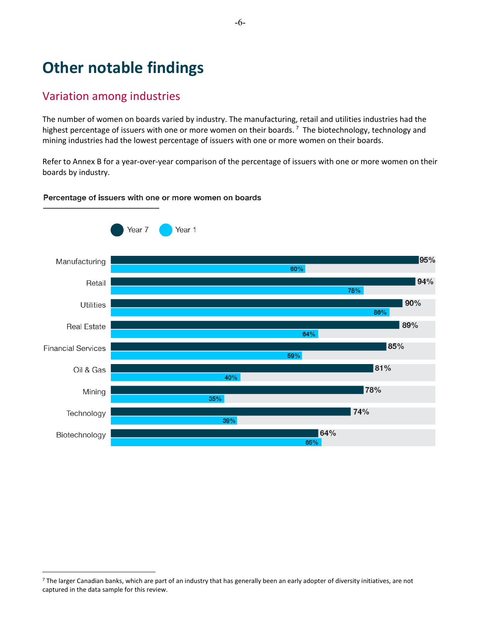## **Other notable findings**

### Variation among industries

 $\overline{a}$ 

The number of women on boards varied by industry. The manufacturing, retail and utilities industries had the highest percentage of issuers with one or more women on their boards.<sup>[7](#page-6-0)</sup> The biotechnology, technology and mining industries had the lowest percentage of issuers with one or more women on their boards.

Refer to Annex B for a year-over-year comparison of the percentage of issuers with one or more women on their boards by industry.

### Percentage of issuers with one or more women on boards



<span id="page-6-0"></span><sup>&</sup>lt;sup>7</sup> The larger Canadian banks, which are part of an industry that has generally been an early adopter of diversity initiatives, are not captured in the data sample for this review.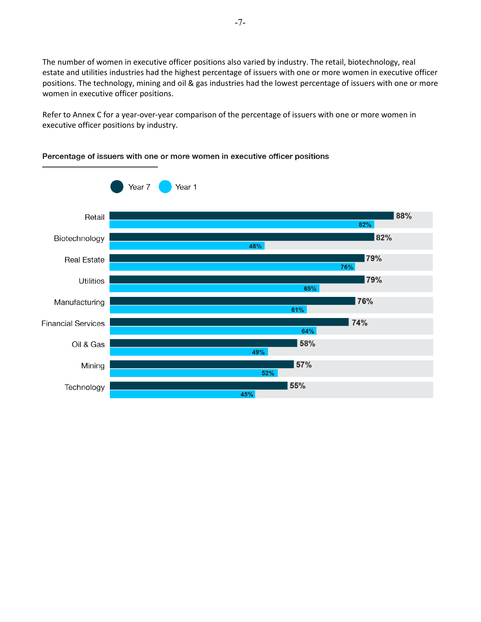The number of women in executive officer positions also varied by industry. The retail, biotechnology, real estate and utilities industries had the highest percentage of issuers with one or more women in executive officer positions. The technology, mining and oil & gas industries had the lowest percentage of issuers with one or more women in executive officer positions.

Refer to Annex C for a year-over-year comparison of the percentage of issuers with one or more women in executive officer positions by industry.



### Percentage of issuers with one or more women in executive officer positions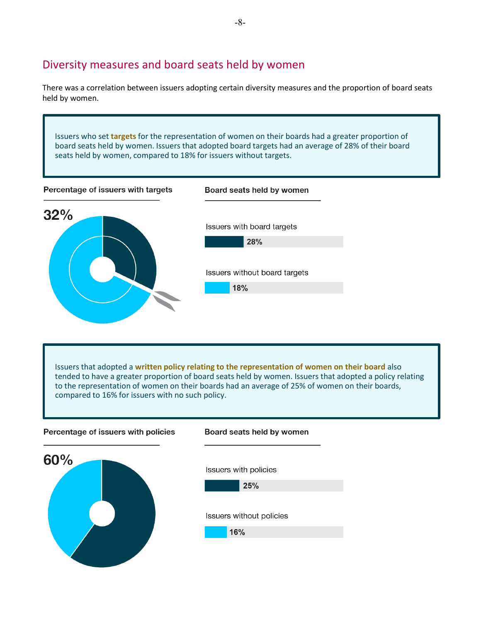### Diversity measures and board seats held by women

There was a correlation between issuers adopting certain diversity measures and the proportion of board seats held by women.

Issuers who set **targets** for the representation of women on their boards had a greater proportion of board seats held by women. Issuers that adopted board targets had an average of 28% of their board seats held by women, compared to 18% for issuers without targets. Percentage of issuers with targets Board seats held by women  $32%$ Issuers with board targets 28% Issuers without board targets 18%

Issuers that adopted a **written policy relating to the representation of women on their board** also tended to have a greater proportion of board seats held by women. Issuers that adopted a policy relating to the representation of women on their boards had an average of 25% of women on their boards, compared to 16% for issuers with no such policy.

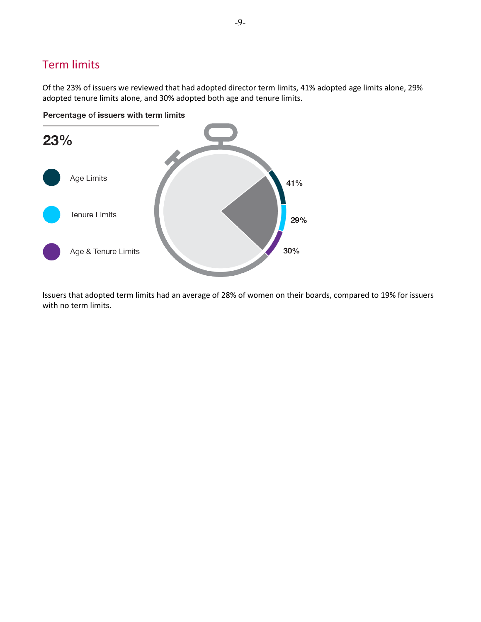## Term limits

Of the 23% of issuers we reviewed that had adopted director term limits, 41% adopted age limits alone, 29% adopted tenure limits alone, and 30% adopted both age and tenure limits.

Percentage of issuers with term limits



Issuers that adopted term limits had an average of 28% of women on their boards, compared to 19% for issuers with no term limits.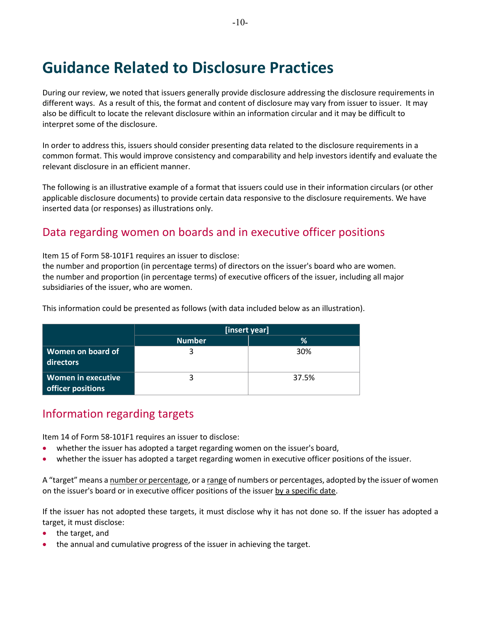## **Guidance Related to Disclosure Practices**

During our review, we noted that issuers generally provide disclosure addressing the disclosure requirements in different ways. As a result of this, the format and content of disclosure may vary from issuer to issuer. It may also be difficult to locate the relevant disclosure within an information circular and it may be difficult to interpret some of the disclosure.

In order to address this, issuers should consider presenting data related to the disclosure requirements in a common format. This would improve consistency and comparability and help investors identify and evaluate the relevant disclosure in an efficient manner.

The following is an illustrative example of a format that issuers could use in their information circulars (or other applicable disclosure documents) to provide certain data responsive to the disclosure requirements. We have inserted data (or responses) as illustrations only.

### Data regarding women on boards and in executive officer positions

Item 15 of Form 58-101F1 requires an issuer to disclose:

the number and proportion (in percentage terms) of directors on the issuer's board who are women. the number and proportion (in percentage terms) of executive officers of the issuer, including all major subsidiaries of the issuer, who are women.

This information could be presented as follows (with data included below as an illustration).

|                                         | [insert year] |       |  |  |  |  |  |
|-----------------------------------------|---------------|-------|--|--|--|--|--|
|                                         | <b>Number</b> | ℅     |  |  |  |  |  |
| Women on board of<br>directors          |               | 30%   |  |  |  |  |  |
| Women in executive<br>officer positions |               | 37.5% |  |  |  |  |  |

### Information regarding targets

Item 14 of Form 58-101F1 requires an issuer to disclose:

- whether the issuer has adopted a target regarding women on the issuer's board,
- whether the issuer has adopted a target regarding women in executive officer positions of the issuer.

A "target" means a number or percentage, or a range of numbers or percentages, adopted by the issuer of women on the issuer's board or in executive officer positions of the issuer by a specific date.

If the issuer has not adopted these targets, it must disclose why it has not done so. If the issuer has adopted a target, it must disclose:

- the target, and
- the annual and cumulative progress of the issuer in achieving the target.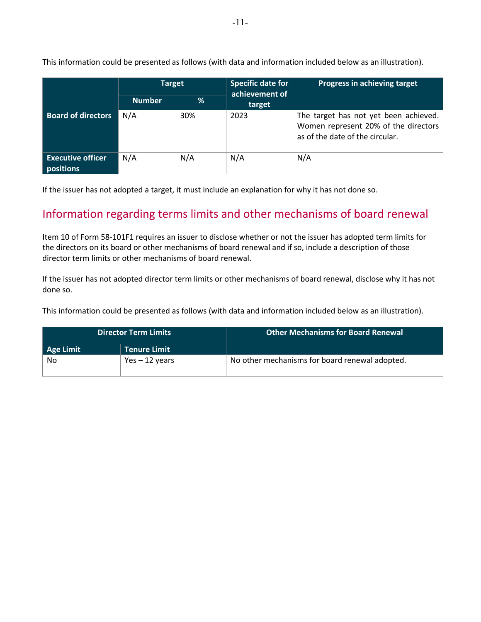|                                       | <b>Target</b> |     | <b>Specific date for</b><br>achievement of | Progress in achieving target                                                                                     |
|---------------------------------------|---------------|-----|--------------------------------------------|------------------------------------------------------------------------------------------------------------------|
|                                       | <b>Number</b> | ℅   | target                                     |                                                                                                                  |
| <b>Board of directors</b>             | N/A           | 30% | 2023                                       | The target has not yet been achieved.<br>Women represent 20% of the directors<br>as of the date of the circular. |
| <b>Executive officer</b><br>positions | N/A           | N/A | N/A                                        | N/A                                                                                                              |

This information could be presented as follows (with data and information included below as an illustration).

If the issuer has not adopted a target, it must include an explanation for why it has not done so.

### Information regarding terms limits and other mechanisms of board renewal

Item 10 of Form 58-101F1 requires an issuer to disclose whether or not the issuer has adopted term limits for the directors on its board or other mechanisms of board renewal and if so, include a description of those director term limits or other mechanisms of board renewal.

If the issuer has not adopted director term limits or other mechanisms of board renewal, disclose why it has not done so.

This information could be presented as follows (with data and information included below as an illustration).

| <b>Director Term Limits</b> |                     | <b>Other Mechanisms for Board Renewal</b>      |
|-----------------------------|---------------------|------------------------------------------------|
| Age Limit                   | <b>Tenure Limit</b> |                                                |
| No                          | Yes $-12$ years     | No other mechanisms for board renewal adopted. |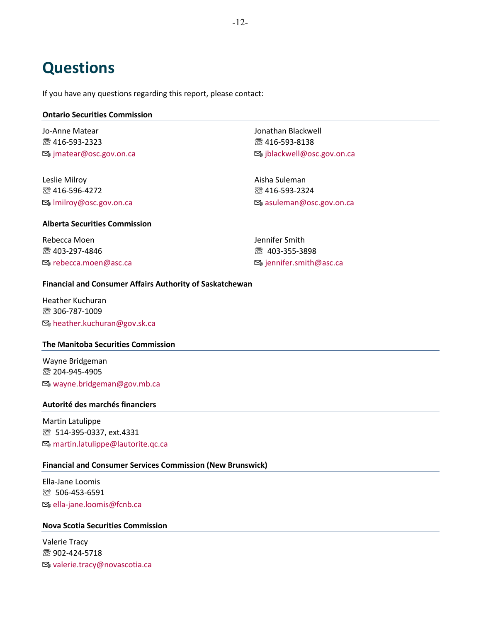## **Questions**

If you have any questions regarding this report, please contact:

### **Ontario Securities Commission**

Jo-Anne Matear ☏ 416-593-2323 **⊠**e jmatear@osc.gov.on.ca

Leslie Milroy ☏ 416-596-4272 lmilroy@osc.gov.on.ca Jonathan Blackwell ☏ 416-593-8138 **⊠**ejblackwell@osc.gov.on.ca

Aisha Suleman ☏ 416-593-2324 asuleman@osc.gov.on.ca

#### **Alberta Securities Commission**

Rebecca Moen ☏ 403-297-4846 **E**® rebecca.moen@asc.ca Jennifer Smith ☏ 403-355-3898 **⊠**ennifer.smith@asc.ca

### **Financial and Consumer Affairs Authority of Saskatchewan**

Heather Kuchuran ☏ 306-787-1009 heather.kuchuran@gov.sk.ca

### **The Manitoba Securities Commission**

Wayne Bridgeman ☏ 204-945-4905 wayne.bridgeman@gov.mb.ca

#### **Autorité des marchés financiers**

Martin Latulippe ☏ 514-395-0337, ext.4331 **⊠**e martin.latulippe@lautorite.qc.ca

### **Financial and Consumer Services Commission (New Brunswick)**

Ella-Jane Loomis ☏ 506-453-6591  $\mathbb{E}_{\theta}$  **ella-jane.loomis@fcnb.ca** 

### **Nova Scotia Securities Commission**

Valerie Tracy ☏ 902-424-5718 [valerie.tracy@novascotia.ca](mailto:valerie.tracy@novascotia.ca)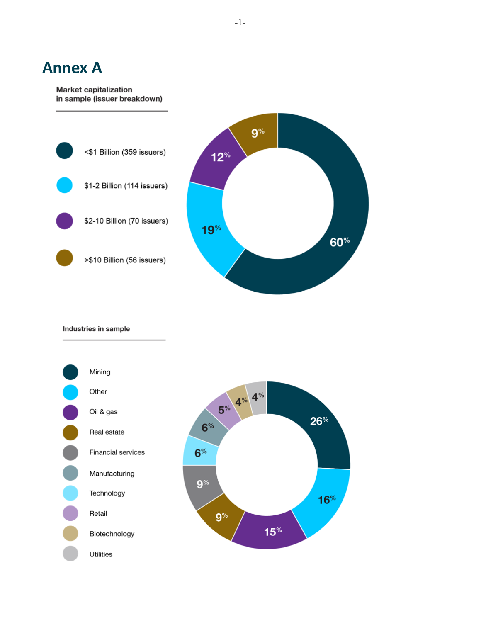## **Annex A**

#### **Market capitalization** in sample (issuer breakdown)



Industries in sample

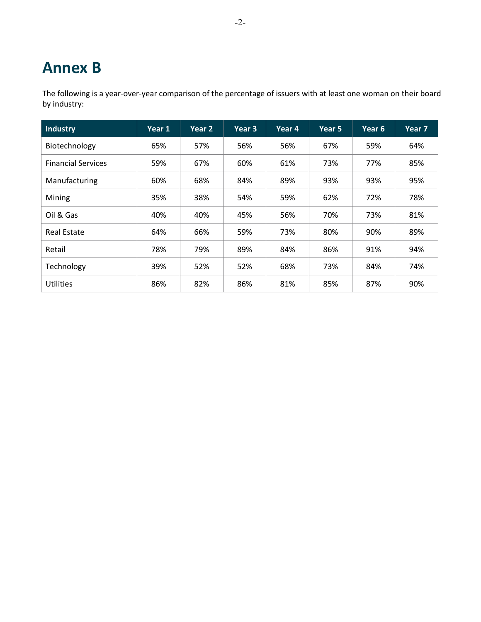## **Annex B**

The following is a year-over-year comparison of the percentage of issuers with at least one woman on their board by industry:

| Industry                  | Year 1 | Year 2 | Year 3 | Year 4 | Year 5 | Year 6 | Year 7 |
|---------------------------|--------|--------|--------|--------|--------|--------|--------|
| Biotechnology             | 65%    | 57%    | 56%    | 56%    | 67%    | 59%    | 64%    |
| <b>Financial Services</b> | 59%    | 67%    | 60%    | 61%    | 73%    | 77%    | 85%    |
| Manufacturing             | 60%    | 68%    | 84%    | 89%    | 93%    | 93%    | 95%    |
| Mining                    | 35%    | 38%    | 54%    | 59%    | 62%    | 72%    | 78%    |
| Oil & Gas                 | 40%    | 40%    | 45%    | 56%    | 70%    | 73%    | 81%    |
| <b>Real Estate</b>        | 64%    | 66%    | 59%    | 73%    | 80%    | 90%    | 89%    |
| Retail                    | 78%    | 79%    | 89%    | 84%    | 86%    | 91%    | 94%    |
| Technology                | 39%    | 52%    | 52%    | 68%    | 73%    | 84%    | 74%    |
| <b>Utilities</b>          | 86%    | 82%    | 86%    | 81%    | 85%    | 87%    | 90%    |